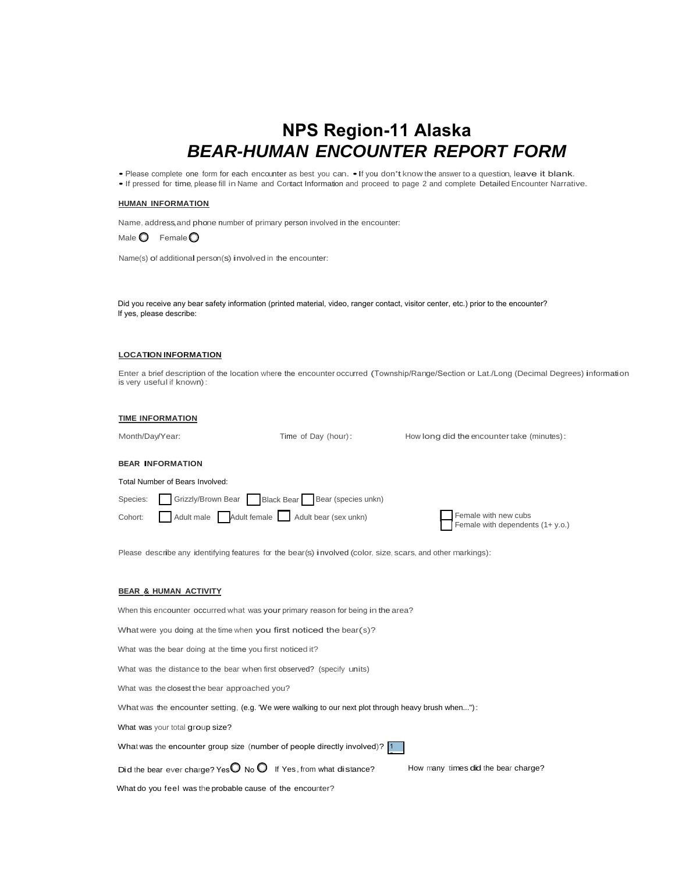# **NPS Region-11 Alaska** *BEAR-HUMAN ENCOUNTER REPORT FORM*

• Please complete one form for each encounter as best you can. •If you don't know the answer to a question, leave it blank.

•If pressed for time, please fill in Name and Contact Information and proceed to page 2 and complete Detailed Encounter Narrative.

#### **HUMAN INFORMATION**

Name, address,and phone number of primary person involved in the encounter:

Male  $\bigcirc$  Female  $\bigcirc$ 

Name(s) of additional person(s) involved in the encounter:

Did you receive any bear safety information (printed material, video, ranger contact, visitor center, etc.) prior to the encounter? If yes, please describe:

#### **LOCATION INFORMATION**

Enter a brief description of the location where the encounter occurred (Township/Range/Section or Lat./Long (Decimal Degrees) information is very useful if known):

#### **TIME INFORMATION**

Month/Day/Year:

Time of Day (hour): How long did the encounter take (minutes):

#### **BEAR INFORMATION**

Total Number of Bears Involved:

| Species: Grizzly/Brown Bear Black Bear Bear (species unkn) |                                                          |
|------------------------------------------------------------|----------------------------------------------------------|
| Cohort: Adult male Adult female Adult bear (sex unkn)      | Female with new cubs<br>Female with dependents (1+ y.o.) |

Please describe any identifying features for the bear(s) involved (color, size, scars, and other markings):

#### **BEAR & HUMAN ACTIVITY**

When this encounter occurred what was your primary reason for being in the area?

What were you doing at the time when you first noticed the bear(s)?

What was the bear doing at the time you first noticed it?

What was the distance to the bear when first observed? (specify units)

What was the closest the bear approached you?

What was the encounter setting, (e.g. 'We were walking to our next plot through heavy brush when..."):

What was your total group size?

What was the encounter group size (number of people directly involved)? 1

Did the bear ever charge? Yes  $\bigcirc$  No  $\bigcirc$  If Yes, from what distance? How many times did the bear charge?

What do you feel was the probable cause of the encounter?

2